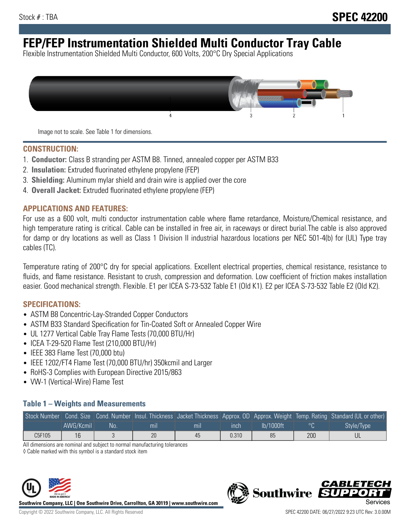# **FEP/FEP Instrumentation Shielded Multi Conductor Tray Cable**

Flexible Instrumentation Shielded Multi Conductor, 600 Volts, 200°C Dry Special Applications



Image not to scale. See Table 1 for dimensions.

#### **CONSTRUCTION:**

- 1. **Conductor:** Class B stranding per ASTM B8. Tinned, annealed copper per ASTM B33
- 2. **Insulation:** Extruded fluorinated ethylene propylene (FEP)
- 3. **Shielding:** Aluminum mylar shield and drain wire is applied over the core
- 4. **Overall Jacket:** Extruded fluorinated ethylene propylene (FEP)

#### **APPLICATIONS AND FEATURES:**

For use as a 600 volt, multi conductor instrumentation cable where flame retardance, Moisture/Chemical resistance, and high temperature rating is critical. Cable can be installed in free air, in raceways or direct burial.The cable is also approved for damp or dry locations as well as Class 1 Division II industrial hazardous locations per NEC 501-4(b) for (UL) Type tray cables (TC).

Temperature rating of 200°C dry for special applications. Excellent electrical properties, chemical resistance, resistance to fluids, and flame resistance. Resistant to crush, compression and deformation. Low coefficient of friction makes installation easier. Good mechanical strength. Flexible. E1 per ICEA S-73-532 Table E1 (Old K1). E2 per ICEA S-73-532 Table E2 (Old K2).

#### **SPECIFICATIONS:**

- ASTM B8 Concentric-Lay-Stranded Copper Conductors
- ASTM B33 Standard Specification for Tin-Coated Soft or Annealed Copper Wire
- UL 1277 Vertical Cable Tray Flame Tests (70,000 BTU/Hr)
- ICEA T-29-520 Flame Test (210,000 BTU/Hr)
- IEEE 383 Flame Test (70,000 btu)
- IEEE 1202/FT4 Flame Test (70,000 BTU/hr) 350kcmil and Larger
- RoHS-3 Complies with European Directive 2015/863
- VW-1 (Vertical-Wire) Flame Test

### **Table 1 – Weights and Measurements**

|        |           |     |     |     |       |           |     | Stock Number Cond. Size Cond. Number Insul. Thickness Jacket Thickness Approx. OD Approx. Weight Temp. Rating Standard (UL or other) |
|--------|-----------|-----|-----|-----|-------|-----------|-----|--------------------------------------------------------------------------------------------------------------------------------------|
|        | AWG/Kcmil | :No | mil | mıl | inch  | Ib/1000ft |     | Style/Type                                                                                                                           |
| C5F105 | 16        |     | 20  | 45  | 0.310 | 85        | 200 |                                                                                                                                      |

All dimensions are nominal and subject to normal manufacturing tolerances

◊ Cable marked with this symbol is a standard stock item



**Southwire Company, LLC | One Southwire Drive, Carrollton, GA 30119 | www.southwire.com**